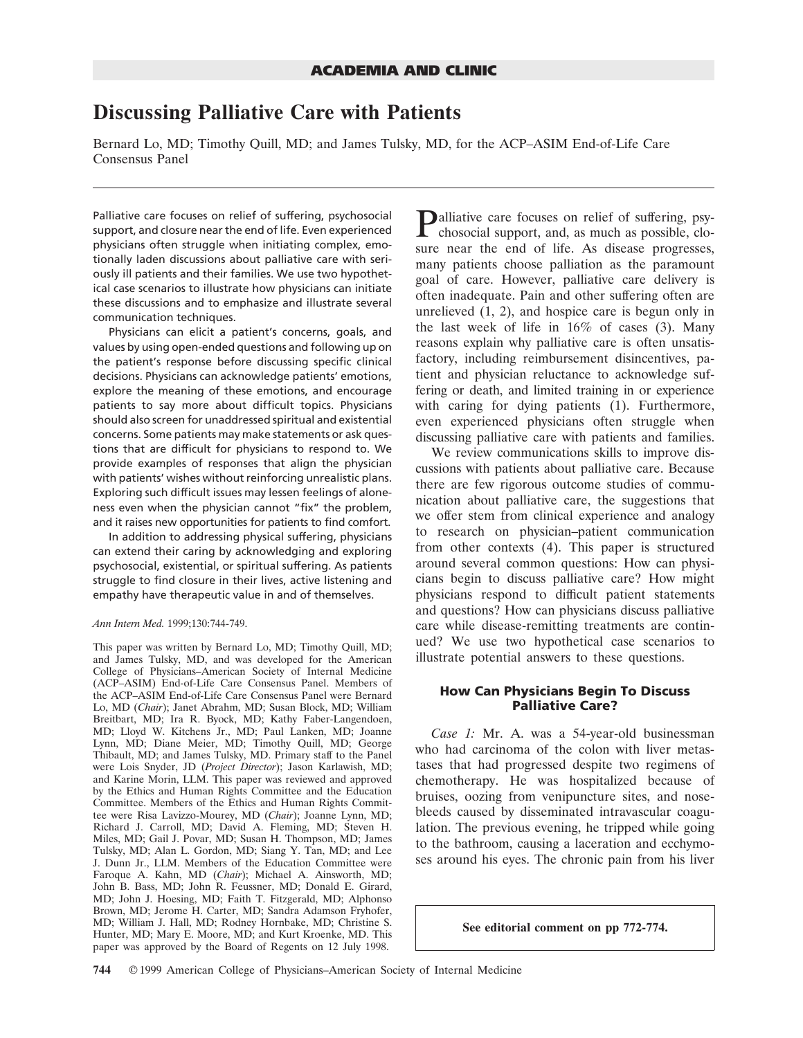# **Discussing Palliative Care with Patients**

Bernard Lo, MD; Timothy Quill, MD; and James Tulsky, MD, for the ACP–ASIM End-of-Life Care Consensus Panel

Palliative care focuses on relief of suffering, psychosocial support, and closure near the end of life. Even experienced physicians often struggle when initiating complex, emotionally laden discussions about palliative care with seriously ill patients and their families. We use two hypothetical case scenarios to illustrate how physicians can initiate these discussions and to emphasize and illustrate several communication techniques.

Physicians can elicit a patient's concerns, goals, and values by using open-ended questions and following up on the patient's response before discussing specific clinical decisions. Physicians can acknowledge patients' emotions, explore the meaning of these emotions, and encourage patients to say more about difficult topics. Physicians should also screen for unaddressed spiritual and existential concerns. Some patients may make statements or ask questions that are difficult for physicians to respond to. We provide examples of responses that align the physician with patients' wishes without reinforcing unrealistic plans. Exploring such difficult issues may lessen feelings of aloneness even when the physician cannot "fix" the problem, and it raises new opportunities for patients to find comfort.

In addition to addressing physical suffering, physicians can extend their caring by acknowledging and exploring psychosocial, existential, or spiritual suffering. As patients struggle to find closure in their lives, active listening and empathy have therapeutic value in and of themselves.

#### *Ann Intern Med.* 1999;130:744-749.

This paper was written by Bernard Lo, MD; Timothy Quill, MD; and James Tulsky, MD, and was developed for the American College of Physicians–American Society of Internal Medicine (ACP–ASIM) End-of-Life Care Consensus Panel. Members of the ACP–ASIM End-of-Life Care Consensus Panel were Bernard Lo, MD (*Chair*); Janet Abrahm, MD; Susan Block, MD; William Breitbart, MD; Ira R. Byock, MD; Kathy Faber-Langendoen, MD; Lloyd W. Kitchens Jr., MD; Paul Lanken, MD; Joanne Lynn, MD; Diane Meier, MD; Timothy Quill, MD; George Thibault, MD; and James Tulsky, MD. Primary staff to the Panel were Lois Snyder, JD (*Project Director*); Jason Karlawish, MD; and Karine Morin, LLM. This paper was reviewed and approved by the Ethics and Human Rights Committee and the Education Committee. Members of the Ethics and Human Rights Committee were Risa Lavizzo-Mourey, MD (*Chair*); Joanne Lynn, MD; Richard J. Carroll, MD; David A. Fleming, MD; Steven H. Miles, MD; Gail J. Povar, MD; Susan H. Thompson, MD; James Tulsky, MD; Alan L. Gordon, MD; Siang Y. Tan, MD; and Lee J. Dunn Jr., LLM. Members of the Education Committee were Faroque A. Kahn, MD (*Chair*); Michael A. Ainsworth, MD; John B. Bass, MD; John R. Feussner, MD; Donald E. Girard, MD; John J. Hoesing, MD; Faith T. Fitzgerald, MD; Alphonso Brown, MD; Jerome H. Carter, MD; Sandra Adamson Fryhofer, MD; William J. Hall, MD; Rodney Hornbake, MD; Christine S. Hunter, MD; Mary E. Moore, MD; and Kurt Kroenke, MD. This paper was approved by the Board of Regents on 12 July 1998.

Palliative care focuses on relief of suffering, psy-<br>chosocial support, and, as much as possible, closure near the end of life. As disease progresses, many patients choose palliation as the paramount goal of care. However, palliative care delivery is often inadequate. Pain and other suffering often are unrelieved (1, 2), and hospice care is begun only in the last week of life in 16% of cases (3). Many reasons explain why palliative care is often unsatisfactory, including reimbursement disincentives, patient and physician reluctance to acknowledge suffering or death, and limited training in or experience with caring for dying patients (1). Furthermore, even experienced physicians often struggle when discussing palliative care with patients and families.

We review communications skills to improve discussions with patients about palliative care. Because there are few rigorous outcome studies of communication about palliative care, the suggestions that we offer stem from clinical experience and analogy to research on physician–patient communication from other contexts (4). This paper is structured around several common questions: How can physicians begin to discuss palliative care? How might physicians respond to difficult patient statements and questions? How can physicians discuss palliative care while disease-remitting treatments are continued? We use two hypothetical case scenarios to illustrate potential answers to these questions.

## **How Can Physicians Begin To Discuss Palliative Care?**

*Case 1:* Mr. A. was a 54-year-old businessman who had carcinoma of the colon with liver metastases that had progressed despite two regimens of chemotherapy. He was hospitalized because of bruises, oozing from venipuncture sites, and nosebleeds caused by disseminated intravascular coagulation. The previous evening, he tripped while going to the bathroom, causing a laceration and ecchymoses around his eyes. The chronic pain from his liver

**See editorial comment on pp 772-774.**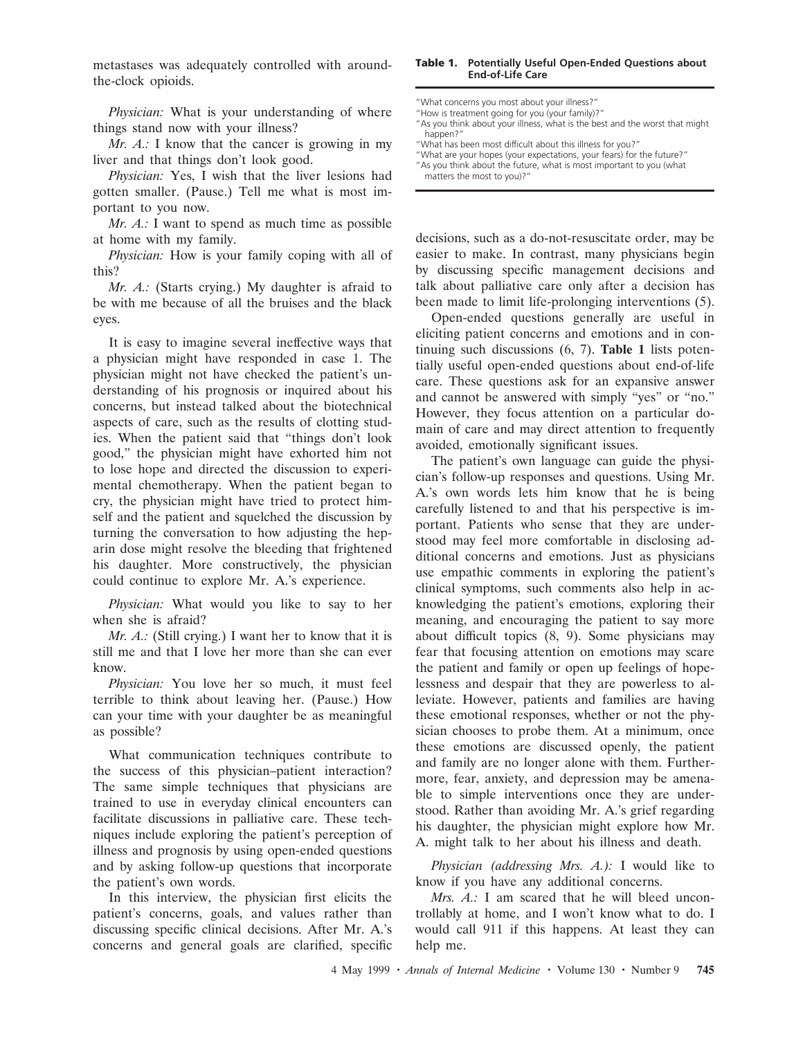metastases was adequately controlled with aroundthe-clock opioids.

*Physician:* What is your understanding of where things stand now with your illness?

*Mr. A.:* I know that the cancer is growing in my liver and that things don't look good.

*Physician:* Yes, I wish that the liver lesions had gotten smaller. (Pause.) Tell me what is most important to you now.

*Mr. A.:* I want to spend as much time as possible at home with my family.

*Physician:* How is your family coping with all of this?

*Mr. A.:* (Starts crying.) My daughter is afraid to be with me because of all the bruises and the black eyes.

It is easy to imagine several ineffective ways that a physician might have responded in case 1. The physician might not have checked the patient's understanding of his prognosis or inquired about his concerns, but instead talked about the biotechnical aspects of care, such as the results of clotting studies. When the patient said that "things don't look good," the physician might have exhorted him not to lose hope and directed the discussion to experimental chemotherapy. When the patient began to cry, the physician might have tried to protect himself and the patient and squelched the discussion by turning the conversation to how adjusting the heparin dose might resolve the bleeding that frightened his daughter. More constructively, the physician could continue to explore Mr. A.'s experience.

*Physician:* What would you like to say to her when she is afraid?

*Mr. A.:* (Still crying.) I want her to know that it is still me and that I love her more than she can ever know.

*Physician:* You love her so much, it must feel terrible to think about leaving her. (Pause.) How can your time with your daughter be as meaningful as possible?

What communication techniques contribute to the success of this physician–patient interaction? The same simple techniques that physicians are trained to use in everyday clinical encounters can facilitate discussions in palliative care. These techniques include exploring the patient's perception of illness and prognosis by using open-ended questions and by asking follow-up questions that incorporate the patient's own words.

In this interview, the physician first elicits the patient's concerns, goals, and values rather than discussing specific clinical decisions. After Mr. A.'s concerns and general goals are clarified, specific

#### **Table 1. Potentially Useful Open-Ended Questions about End-of-Life Care**

- "What concerns you most about your illness?"
- "How is treatment going for you (your family)?"

decisions, such as a do-not-resuscitate order, may be easier to make. In contrast, many physicians begin by discussing specific management decisions and talk about palliative care only after a decision has been made to limit life-prolonging interventions (5).

Open-ended questions generally are useful in eliciting patient concerns and emotions and in continuing such discussions (6, 7). **Table 1** lists potentially useful open-ended questions about end-of-life care. These questions ask for an expansive answer and cannot be answered with simply "yes" or "no." However, they focus attention on a particular domain of care and may direct attention to frequently avoided, emotionally significant issues.

The patient's own language can guide the physician's follow-up responses and questions. Using Mr. A.'s own words lets him know that he is being carefully listened to and that his perspective is important. Patients who sense that they are understood may feel more comfortable in disclosing additional concerns and emotions. Just as physicians use empathic comments in exploring the patient's clinical symptoms, such comments also help in acknowledging the patient's emotions, exploring their meaning, and encouraging the patient to say more about difficult topics (8, 9). Some physicians may fear that focusing attention on emotions may scare the patient and family or open up feelings of hopelessness and despair that they are powerless to alleviate. However, patients and families are having these emotional responses, whether or not the physician chooses to probe them. At a minimum, once these emotions are discussed openly, the patient and family are no longer alone with them. Furthermore, fear, anxiety, and depression may be amenable to simple interventions once they are understood. Rather than avoiding Mr. A.'s grief regarding his daughter, the physician might explore how Mr. A. might talk to her about his illness and death.

*Physician (addressing Mrs. A.):* I would like to know if you have any additional concerns.

*Mrs. A.:* I am scared that he will bleed uncontrollably at home, and I won't know what to do. I would call 911 if this happens. At least they can help me.

<sup>&</sup>quot;As you think about your illness, what is the best and the worst that might hannen?'

<sup>&</sup>quot;What has been most difficult about this illness for you?"

<sup>&</sup>quot;What are your hopes (your expectations, your fears) for the future?" "As you think about the future, what is most important to you (what matters the most to you)?"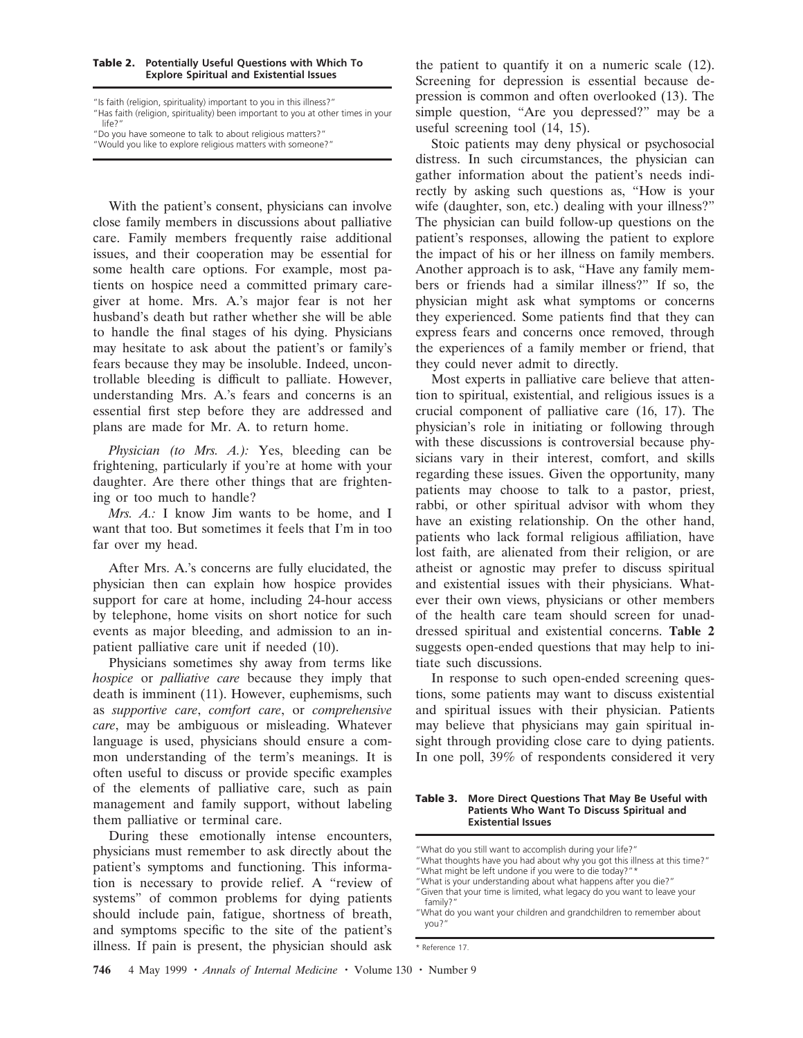#### **Table 2. Potentially Useful Questions with Which To Explore Spiritual and Existential Issues**

"Is faith (religion, spirituality) important to you in this illness?" "Has faith (religion, spirituality) been important to you at other times in your life?"

With the patient's consent, physicians can involve close family members in discussions about palliative care. Family members frequently raise additional issues, and their cooperation may be essential for some health care options. For example, most patients on hospice need a committed primary caregiver at home. Mrs. A.'s major fear is not her husband's death but rather whether she will be able to handle the final stages of his dying. Physicians may hesitate to ask about the patient's or family's fears because they may be insoluble. Indeed, uncontrollable bleeding is difficult to palliate. However, understanding Mrs. A.'s fears and concerns is an essential first step before they are addressed and plans are made for Mr. A. to return home.

*Physician (to Mrs. A.):* Yes, bleeding can be frightening, particularly if you're at home with your daughter. Are there other things that are frightening or too much to handle?

*Mrs. A.:* I know Jim wants to be home, and I want that too. But sometimes it feels that I'm in too far over my head.

After Mrs. A.'s concerns are fully elucidated, the physician then can explain how hospice provides support for care at home, including 24-hour access by telephone, home visits on short notice for such events as major bleeding, and admission to an inpatient palliative care unit if needed (10).

Physicians sometimes shy away from terms like *hospice* or *palliative care* because they imply that death is imminent (11). However, euphemisms, such as *supportive care*, *comfort care*, or *comprehensive care*, may be ambiguous or misleading. Whatever language is used, physicians should ensure a common understanding of the term's meanings. It is often useful to discuss or provide specific examples of the elements of palliative care, such as pain management and family support, without labeling them palliative or terminal care.

During these emotionally intense encounters, physicians must remember to ask directly about the patient's symptoms and functioning. This information is necessary to provide relief. A "review of systems" of common problems for dying patients should include pain, fatigue, shortness of breath, and symptoms specific to the site of the patient's illness. If pain is present, the physician should ask the patient to quantify it on a numeric scale (12). Screening for depression is essential because depression is common and often overlooked (13). The simple question, "Are you depressed?" may be a useful screening tool (14, 15).

Stoic patients may deny physical or psychosocial distress. In such circumstances, the physician can gather information about the patient's needs indirectly by asking such questions as, "How is your wife (daughter, son, etc.) dealing with your illness?" The physician can build follow-up questions on the patient's responses, allowing the patient to explore the impact of his or her illness on family members. Another approach is to ask, "Have any family members or friends had a similar illness?" If so, the physician might ask what symptoms or concerns they experienced. Some patients find that they can express fears and concerns once removed, through the experiences of a family member or friend, that they could never admit to directly.

Most experts in palliative care believe that attention to spiritual, existential, and religious issues is a crucial component of palliative care (16, 17). The physician's role in initiating or following through with these discussions is controversial because physicians vary in their interest, comfort, and skills regarding these issues. Given the opportunity, many patients may choose to talk to a pastor, priest, rabbi, or other spiritual advisor with whom they have an existing relationship. On the other hand, patients who lack formal religious affiliation, have lost faith, are alienated from their religion, or are atheist or agnostic may prefer to discuss spiritual and existential issues with their physicians. Whatever their own views, physicians or other members of the health care team should screen for unaddressed spiritual and existential concerns. **Table 2** suggests open-ended questions that may help to initiate such discussions.

In response to such open-ended screening questions, some patients may want to discuss existential and spiritual issues with their physician. Patients may believe that physicians may gain spiritual insight through providing close care to dying patients. In one poll, 39% of respondents considered it very

#### **Table 3. More Direct Questions That May Be Useful with Patients Who Want To Discuss Spiritual and Existential Issues**

\* Reference 17.

<sup>&</sup>quot;Do you have someone to talk to about religious matters?" "Would you like to explore religious matters with someone?"

<sup>&</sup>quot;What do you still want to accomplish during your life?"

<sup>&</sup>quot;What thoughts have you had about why you got this illness at this time?" "What might be left undone if you were to die today?"\*

<sup>&</sup>quot;What is your understanding about what happens after you die?"

<sup>&</sup>quot;Given that your time is limited, what legacy do you want to leave your family?

<sup>&</sup>quot;What do you want your children and grandchildren to remember about you?"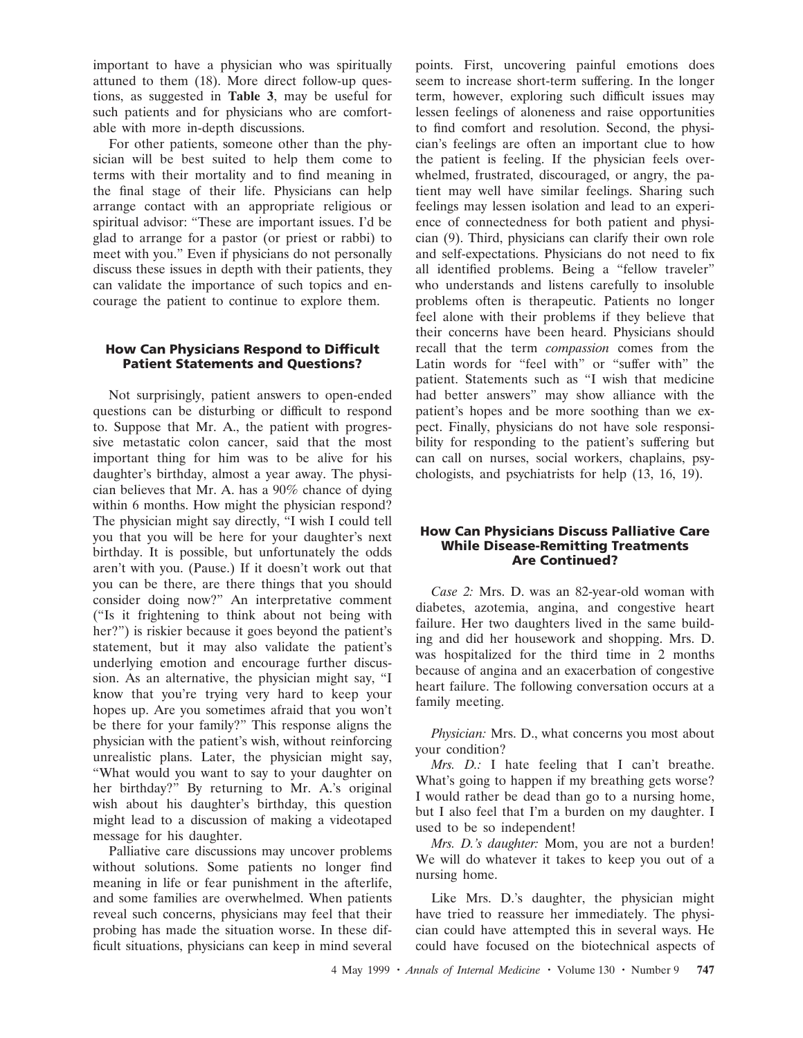important to have a physician who was spiritually attuned to them (18). More direct follow-up questions, as suggested in **Table 3**, may be useful for such patients and for physicians who are comfortable with more in-depth discussions.

For other patients, someone other than the physician will be best suited to help them come to terms with their mortality and to find meaning in the final stage of their life. Physicians can help arrange contact with an appropriate religious or spiritual advisor: "These are important issues. I'd be glad to arrange for a pastor (or priest or rabbi) to meet with you." Even if physicians do not personally discuss these issues in depth with their patients, they can validate the importance of such topics and encourage the patient to continue to explore them.

# **How Can Physicians Respond to Difficult Patient Statements and Questions?**

Not surprisingly, patient answers to open-ended questions can be disturbing or difficult to respond to. Suppose that Mr. A., the patient with progressive metastatic colon cancer, said that the most important thing for him was to be alive for his daughter's birthday, almost a year away. The physician believes that Mr. A. has a 90% chance of dying within 6 months. How might the physician respond? The physician might say directly, "I wish I could tell you that you will be here for your daughter's next birthday. It is possible, but unfortunately the odds aren't with you. (Pause.) If it doesn't work out that you can be there, are there things that you should consider doing now?" An interpretative comment ("Is it frightening to think about not being with her?") is riskier because it goes beyond the patient's statement, but it may also validate the patient's underlying emotion and encourage further discussion. As an alternative, the physician might say, "I know that you're trying very hard to keep your hopes up. Are you sometimes afraid that you won't be there for your family?" This response aligns the physician with the patient's wish, without reinforcing unrealistic plans. Later, the physician might say, "What would you want to say to your daughter on her birthday?" By returning to Mr. A.'s original wish about his daughter's birthday, this question might lead to a discussion of making a videotaped message for his daughter.

Palliative care discussions may uncover problems without solutions. Some patients no longer find meaning in life or fear punishment in the afterlife, and some families are overwhelmed. When patients reveal such concerns, physicians may feel that their probing has made the situation worse. In these difficult situations, physicians can keep in mind several

points. First, uncovering painful emotions does seem to increase short-term suffering. In the longer term, however, exploring such difficult issues may lessen feelings of aloneness and raise opportunities to find comfort and resolution. Second, the physician's feelings are often an important clue to how the patient is feeling. If the physician feels overwhelmed, frustrated, discouraged, or angry, the patient may well have similar feelings. Sharing such feelings may lessen isolation and lead to an experience of connectedness for both patient and physician (9). Third, physicians can clarify their own role and self-expectations. Physicians do not need to fix all identified problems. Being a "fellow traveler" who understands and listens carefully to insoluble problems often is therapeutic. Patients no longer feel alone with their problems if they believe that their concerns have been heard. Physicians should recall that the term *compassion* comes from the Latin words for "feel with" or "suffer with" the patient. Statements such as "I wish that medicine had better answers" may show alliance with the patient's hopes and be more soothing than we expect. Finally, physicians do not have sole responsibility for responding to the patient's suffering but can call on nurses, social workers, chaplains, psychologists, and psychiatrists for help (13, 16, 19).

## **How Can Physicians Discuss Palliative Care While Disease-Remitting Treatments Are Continued?**

*Case 2:* Mrs. D. was an 82-year-old woman with diabetes, azotemia, angina, and congestive heart failure. Her two daughters lived in the same building and did her housework and shopping. Mrs. D. was hospitalized for the third time in 2 months because of angina and an exacerbation of congestive heart failure. The following conversation occurs at a family meeting.

*Physician:* Mrs. D., what concerns you most about your condition?

*Mrs. D.:* I hate feeling that I can't breathe. What's going to happen if my breathing gets worse? I would rather be dead than go to a nursing home, but I also feel that I'm a burden on my daughter. I used to be so independent!

*Mrs. D.'s daughter:* Mom, you are not a burden! We will do whatever it takes to keep you out of a nursing home.

Like Mrs. D.'s daughter, the physician might have tried to reassure her immediately. The physician could have attempted this in several ways. He could have focused on the biotechnical aspects of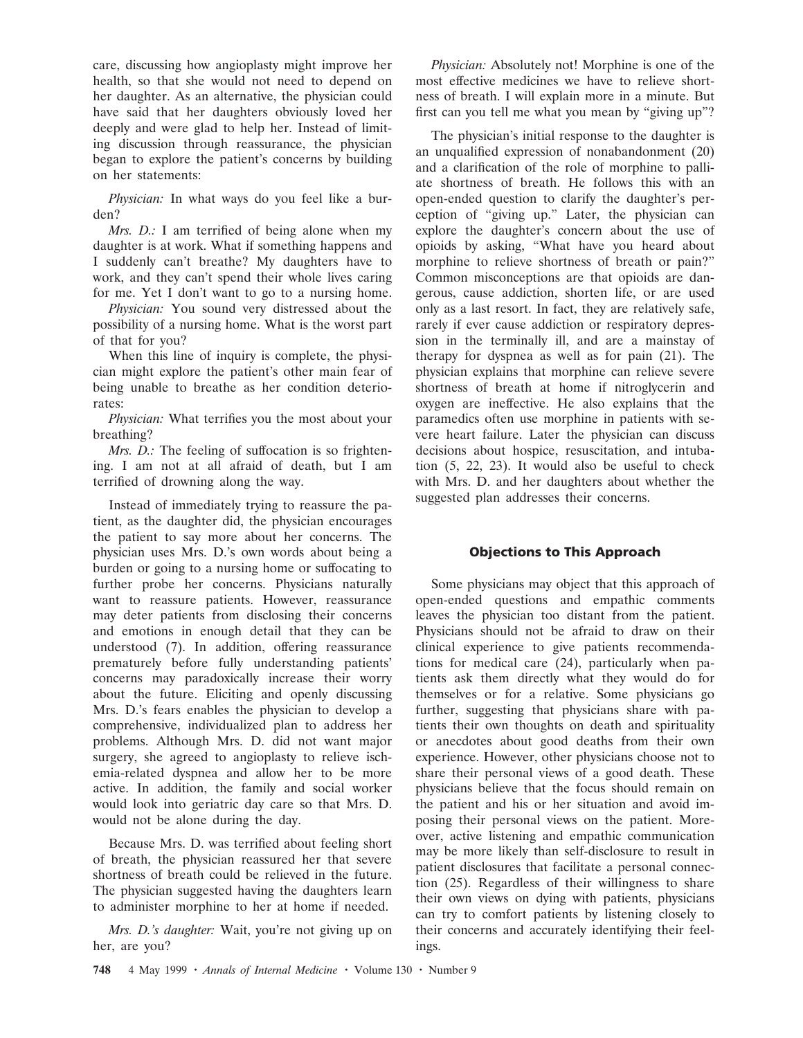care, discussing how angioplasty might improve her health, so that she would not need to depend on her daughter. As an alternative, the physician could have said that her daughters obviously loved her deeply and were glad to help her. Instead of limiting discussion through reassurance, the physician began to explore the patient's concerns by building on her statements:

*Physician:* In what ways do you feel like a burden?

*Mrs. D.:* I am terrified of being alone when my daughter is at work. What if something happens and I suddenly can't breathe? My daughters have to work, and they can't spend their whole lives caring for me. Yet I don't want to go to a nursing home.

*Physician:* You sound very distressed about the possibility of a nursing home. What is the worst part of that for you?

When this line of inquiry is complete, the physician might explore the patient's other main fear of being unable to breathe as her condition deteriorates:

*Physician:* What terrifies you the most about your breathing?

*Mrs. D.:* The feeling of suffocation is so frightening. I am not at all afraid of death, but I am terrified of drowning along the way.

Instead of immediately trying to reassure the patient, as the daughter did, the physician encourages the patient to say more about her concerns. The physician uses Mrs. D.'s own words about being a burden or going to a nursing home or suffocating to further probe her concerns. Physicians naturally want to reassure patients. However, reassurance may deter patients from disclosing their concerns and emotions in enough detail that they can be understood (7). In addition, offering reassurance prematurely before fully understanding patients' concerns may paradoxically increase their worry about the future. Eliciting and openly discussing Mrs. D.'s fears enables the physician to develop a comprehensive, individualized plan to address her problems. Although Mrs. D. did not want major surgery, she agreed to angioplasty to relieve ischemia-related dyspnea and allow her to be more active. In addition, the family and social worker would look into geriatric day care so that Mrs. D. would not be alone during the day.

Because Mrs. D. was terrified about feeling short of breath, the physician reassured her that severe shortness of breath could be relieved in the future. The physician suggested having the daughters learn to administer morphine to her at home if needed.

*Mrs. D.'s daughter:* Wait, you're not giving up on her, are you?

*Physician:* Absolutely not! Morphine is one of the most effective medicines we have to relieve shortness of breath. I will explain more in a minute. But first can you tell me what you mean by "giving up"?

The physician's initial response to the daughter is an unqualified expression of nonabandonment (20) and a clarification of the role of morphine to palliate shortness of breath. He follows this with an open-ended question to clarify the daughter's perception of "giving up." Later, the physician can explore the daughter's concern about the use of opioids by asking, "What have you heard about morphine to relieve shortness of breath or pain?" Common misconceptions are that opioids are dangerous, cause addiction, shorten life, or are used only as a last resort. In fact, they are relatively safe, rarely if ever cause addiction or respiratory depression in the terminally ill, and are a mainstay of therapy for dyspnea as well as for pain (21). The physician explains that morphine can relieve severe shortness of breath at home if nitroglycerin and oxygen are ineffective. He also explains that the paramedics often use morphine in patients with severe heart failure. Later the physician can discuss decisions about hospice, resuscitation, and intubation (5, 22, 23). It would also be useful to check with Mrs. D. and her daughters about whether the suggested plan addresses their concerns.

# **Objections to This Approach**

Some physicians may object that this approach of open-ended questions and empathic comments leaves the physician too distant from the patient. Physicians should not be afraid to draw on their clinical experience to give patients recommendations for medical care (24), particularly when patients ask them directly what they would do for themselves or for a relative. Some physicians go further, suggesting that physicians share with patients their own thoughts on death and spirituality or anecdotes about good deaths from their own experience. However, other physicians choose not to share their personal views of a good death. These physicians believe that the focus should remain on the patient and his or her situation and avoid imposing their personal views on the patient. Moreover, active listening and empathic communication may be more likely than self-disclosure to result in patient disclosures that facilitate a personal connection (25). Regardless of their willingness to share their own views on dying with patients, physicians can try to comfort patients by listening closely to their concerns and accurately identifying their feelings.